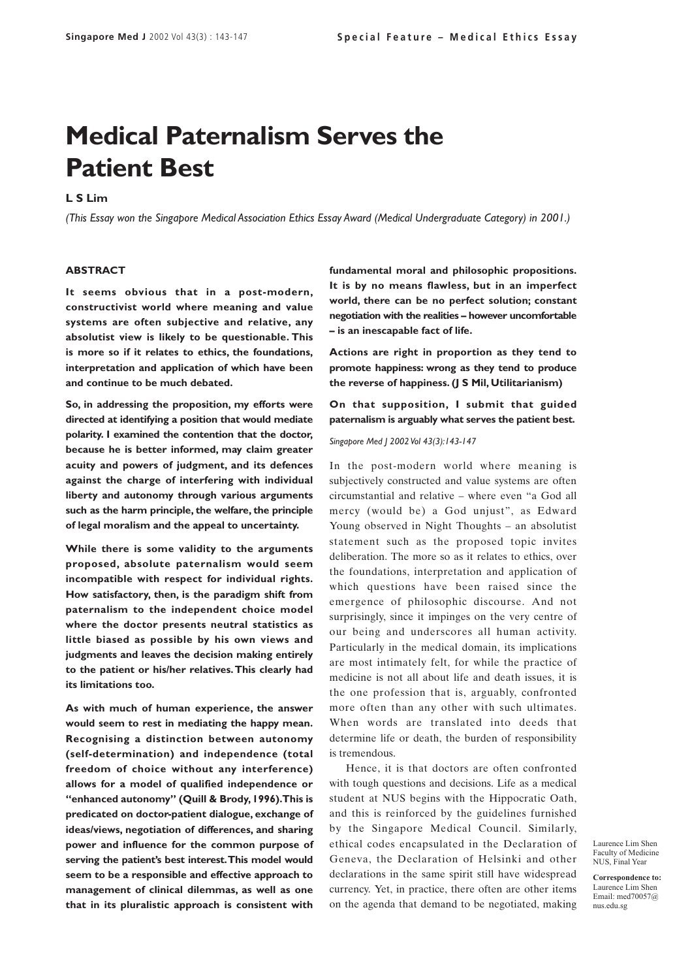# **Medical Paternalism Serves the Patient Best**

## **L S Lim**

*(This Essay won the Singapore Medical Association Ethics Essay Award (Medical Undergraduate Category) in 2001.)*

#### **ABSTRACT**

**It seems obvious that in a post-modern, constructivist world where meaning and value systems are often subjective and relative, any absolutist view is likely to be questionable. This is more so if it relates to ethics, the foundations, interpretation and application of which have been and continue to be much debated.**

**So, in addressing the proposition, my efforts were directed at identifying a position that would mediate polarity. I examined the contention that the doctor, because he is better informed, may claim greater acuity and powers of judgment, and its defences against the charge of interfering with individual liberty and autonomy through various arguments such as the harm principle, the welfare, the principle of legal moralism and the appeal to uncertainty.**

**While there is some validity to the arguments proposed, absolute paternalism would seem incompatible with respect for individual rights. How satisfactory, then, is the paradigm shift from paternalism to the independent choice model where the doctor presents neutral statistics as little biased as possible by his own views and judgments and leaves the decision making entirely to the patient or his/her relatives. This clearly had its limitations too.**

**As with much of human experience, the answer would seem to rest in mediating the happy mean. Recognising a distinction between autonomy (self-determination) and independence (total freedom of choice without any interference) allows for a model of qualified independence or "enhanced autonomy" (Quill & Brody, 1996). This is predicated on doctor-patient dialogue, exchange of ideas/views, negotiation of differences, and sharing power and influence for the common purpose of serving the patient's best interest. This model would seem to be a responsible and effective approach to management of clinical dilemmas, as well as one that in its pluralistic approach is consistent with**

**fundamental moral and philosophic propositions. It is by no means flawless, but in an imperfect world, there can be no perfect solution; constant negotiation with the realities – however uncomfortable – is an inescapable fact of life.**

**Actions are right in proportion as they tend to promote happiness: wrong as they tend to produce the reverse of happiness. (J S Mil, Utilitarianism)**

**On that supposition, I submit that guided paternalism is arguably what serves the patient best.**

### *Singapore Med J 2002 Vol 43(3):143-147*

In the post-modern world where meaning is subjectively constructed and value systems are often circumstantial and relative – where even "a God all mercy (would be) a God unjust", as Edward Young observed in Night Thoughts – an absolutist statement such as the proposed topic invites deliberation. The more so as it relates to ethics, over the foundations, interpretation and application of which questions have been raised since the emergence of philosophic discourse. And not surprisingly, since it impinges on the very centre of our being and underscores all human activity. Particularly in the medical domain, its implications are most intimately felt, for while the practice of medicine is not all about life and death issues, it is the one profession that is, arguably, confronted more often than any other with such ultimates. When words are translated into deeds that determine life or death, the burden of responsibility is tremendous.

Hence, it is that doctors are often confronted with tough questions and decisions. Life as a medical student at NUS begins with the Hippocratic Oath, and this is reinforced by the guidelines furnished by the Singapore Medical Council. Similarly, ethical codes encapsulated in the Declaration of Geneva, the Declaration of Helsinki and other declarations in the same spirit still have widespread currency. Yet, in practice, there often are other items on the agenda that demand to be negotiated, making

Laurence Lim Shen Faculty of Medicine NUS, Final Year

**Correspondence to:** Laurence Lim Shen Email: med70057@ nus.edu.sg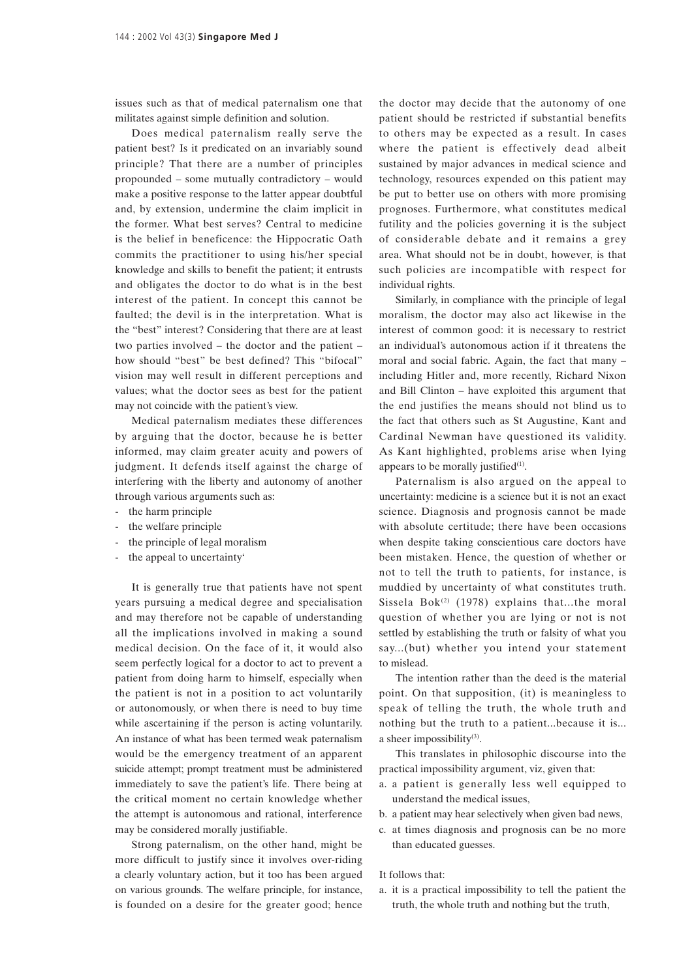issues such as that of medical paternalism one that militates against simple definition and solution.

Does medical paternalism really serve the patient best? Is it predicated on an invariably sound principle? That there are a number of principles propounded – some mutually contradictory – would make a positive response to the latter appear doubtful and, by extension, undermine the claim implicit in the former. What best serves? Central to medicine is the belief in beneficence: the Hippocratic Oath commits the practitioner to using his/her special knowledge and skills to benefit the patient; it entrusts and obligates the doctor to do what is in the best interest of the patient. In concept this cannot be faulted; the devil is in the interpretation. What is the "best" interest? Considering that there are at least two parties involved – the doctor and the patient – how should "best" be best defined? This "bifocal" vision may well result in different perceptions and values; what the doctor sees as best for the patient may not coincide with the patient's view.

Medical paternalism mediates these differences by arguing that the doctor, because he is better informed, may claim greater acuity and powers of judgment. It defends itself against the charge of interfering with the liberty and autonomy of another through various arguments such as:

- the harm principle
- the welfare principle
- the principle of legal moralism
- the appeal to uncertainty

It is generally true that patients have not spent years pursuing a medical degree and specialisation and may therefore not be capable of understanding all the implications involved in making a sound medical decision. On the face of it, it would also seem perfectly logical for a doctor to act to prevent a patient from doing harm to himself, especially when the patient is not in a position to act voluntarily or autonomously, or when there is need to buy time while ascertaining if the person is acting voluntarily. An instance of what has been termed weak paternalism would be the emergency treatment of an apparent suicide attempt; prompt treatment must be administered immediately to save the patient's life. There being at the critical moment no certain knowledge whether the attempt is autonomous and rational, interference may be considered morally justifiable.

Strong paternalism, on the other hand, might be more difficult to justify since it involves over-riding a clearly voluntary action, but it too has been argued on various grounds. The welfare principle, for instance, is founded on a desire for the greater good; hence

the doctor may decide that the autonomy of one patient should be restricted if substantial benefits to others may be expected as a result. In cases where the patient is effectively dead albeit sustained by major advances in medical science and technology, resources expended on this patient may be put to better use on others with more promising prognoses. Furthermore, what constitutes medical futility and the policies governing it is the subject of considerable debate and it remains a grey area. What should not be in doubt, however, is that such policies are incompatible with respect for individual rights.

Similarly, in compliance with the principle of legal moralism, the doctor may also act likewise in the interest of common good: it is necessary to restrict an individual's autonomous action if it threatens the moral and social fabric. Again, the fact that many – including Hitler and, more recently, Richard Nixon and Bill Clinton – have exploited this argument that the end justifies the means should not blind us to the fact that others such as St Augustine, Kant and Cardinal Newman have questioned its validity. As Kant highlighted, problems arise when lying appears to be morally justified $(1)$ .

Paternalism is also argued on the appeal to uncertainty: medicine is a science but it is not an exact science. Diagnosis and prognosis cannot be made with absolute certitude; there have been occasions when despite taking conscientious care doctors have been mistaken. Hence, the question of whether or not to tell the truth to patients, for instance, is muddied by uncertainty of what constitutes truth. Sissela Bok<sup>(2)</sup> (1978) explains that...the moral question of whether you are lying or not is not settled by establishing the truth or falsity of what you say...(but) whether you intend your statement to mislead.

The intention rather than the deed is the material point. On that supposition, (it) is meaningless to speak of telling the truth, the whole truth and nothing but the truth to a patient...because it is... a sheer impossibility $(3)$ .

This translates in philosophic discourse into the practical impossibility argument, viz, given that:

- a. a patient is generally less well equipped to understand the medical issues,
- b. a patient may hear selectively when given bad news,
- c. at times diagnosis and prognosis can be no more than educated guesses.

It follows that:

a. it is a practical impossibility to tell the patient the truth, the whole truth and nothing but the truth,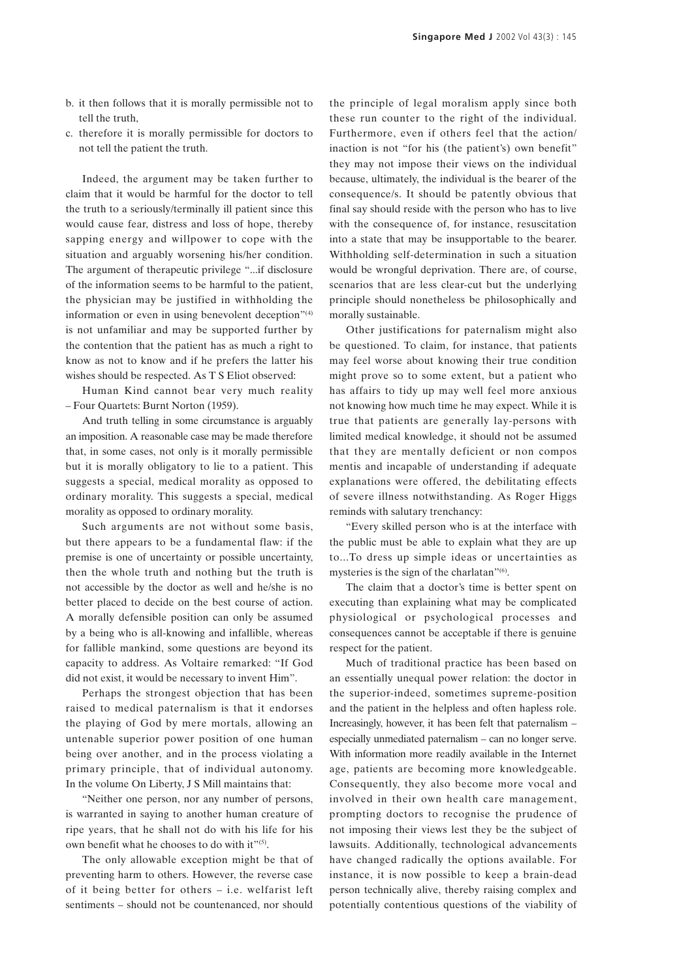- b. it then follows that it is morally permissible not to tell the truth,
- c. therefore it is morally permissible for doctors to not tell the patient the truth.

Indeed, the argument may be taken further to claim that it would be harmful for the doctor to tell the truth to a seriously/terminally ill patient since this would cause fear, distress and loss of hope, thereby sapping energy and willpower to cope with the situation and arguably worsening his/her condition. The argument of therapeutic privilege "...if disclosure of the information seems to be harmful to the patient, the physician may be justified in withholding the information or even in using benevolent deception"<sup>(4)</sup> is not unfamiliar and may be supported further by the contention that the patient has as much a right to know as not to know and if he prefers the latter his wishes should be respected. As T S Eliot observed:

Human Kind cannot bear very much reality – Four Quartets: Burnt Norton (1959).

And truth telling in some circumstance is arguably an imposition. A reasonable case may be made therefore that, in some cases, not only is it morally permissible but it is morally obligatory to lie to a patient. This suggests a special, medical morality as opposed to ordinary morality. This suggests a special, medical morality as opposed to ordinary morality.

Such arguments are not without some basis, but there appears to be a fundamental flaw: if the premise is one of uncertainty or possible uncertainty, then the whole truth and nothing but the truth is not accessible by the doctor as well and he/she is no better placed to decide on the best course of action. A morally defensible position can only be assumed by a being who is all-knowing and infallible, whereas for fallible mankind, some questions are beyond its capacity to address. As Voltaire remarked: "If God did not exist, it would be necessary to invent Him".

Perhaps the strongest objection that has been raised to medical paternalism is that it endorses the playing of God by mere mortals, allowing an untenable superior power position of one human being over another, and in the process violating a primary principle, that of individual autonomy. In the volume On Liberty, J S Mill maintains that:

"Neither one person, nor any number of persons, is warranted in saying to another human creature of ripe years, that he shall not do with his life for his own benefit what he chooses to do with it"<sup>(5)</sup>.

The only allowable exception might be that of preventing harm to others. However, the reverse case of it being better for others – i.e. welfarist left sentiments – should not be countenanced, nor should

the principle of legal moralism apply since both these run counter to the right of the individual. Furthermore, even if others feel that the action/ inaction is not "for his (the patient's) own benefit" they may not impose their views on the individual because, ultimately, the individual is the bearer of the consequence/s. It should be patently obvious that final say should reside with the person who has to live with the consequence of, for instance, resuscitation into a state that may be insupportable to the bearer. Withholding self-determination in such a situation would be wrongful deprivation. There are, of course, scenarios that are less clear-cut but the underlying principle should nonetheless be philosophically and morally sustainable.

Other justifications for paternalism might also be questioned. To claim, for instance, that patients may feel worse about knowing their true condition might prove so to some extent, but a patient who has affairs to tidy up may well feel more anxious not knowing how much time he may expect. While it is true that patients are generally lay-persons with limited medical knowledge, it should not be assumed that they are mentally deficient or non compos mentis and incapable of understanding if adequate explanations were offered, the debilitating effects of severe illness notwithstanding. As Roger Higgs reminds with salutary trenchancy:

"Every skilled person who is at the interface with the public must be able to explain what they are up to...To dress up simple ideas or uncertainties as mysteries is the sign of the charlatan"<sup>(6)</sup>.

The claim that a doctor's time is better spent on executing than explaining what may be complicated physiological or psychological processes and consequences cannot be acceptable if there is genuine respect for the patient.

Much of traditional practice has been based on an essentially unequal power relation: the doctor in the superior-indeed, sometimes supreme-position and the patient in the helpless and often hapless role. Increasingly, however, it has been felt that paternalism – especially unmediated paternalism – can no longer serve. With information more readily available in the Internet age, patients are becoming more knowledgeable. Consequently, they also become more vocal and involved in their own health care management, prompting doctors to recognise the prudence of not imposing their views lest they be the subject of lawsuits. Additionally, technological advancements have changed radically the options available. For instance, it is now possible to keep a brain-dead person technically alive, thereby raising complex and potentially contentious questions of the viability of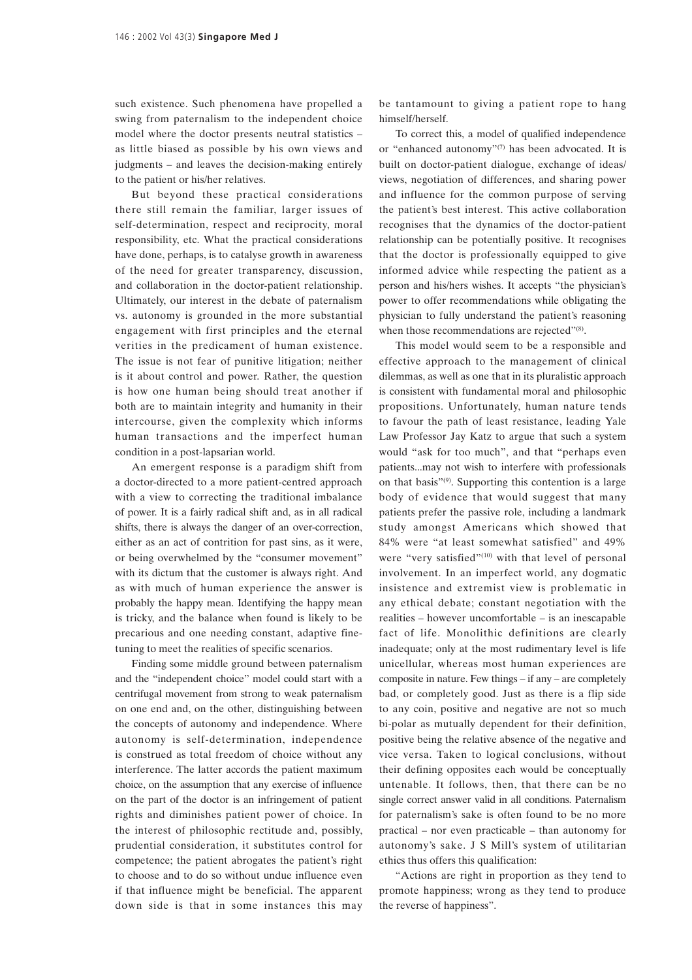such existence. Such phenomena have propelled a swing from paternalism to the independent choice model where the doctor presents neutral statistics – as little biased as possible by his own views and judgments – and leaves the decision-making entirely to the patient or his/her relatives.

But beyond these practical considerations there still remain the familiar, larger issues of self-determination, respect and reciprocity, moral responsibility, etc. What the practical considerations have done, perhaps, is to catalyse growth in awareness of the need for greater transparency, discussion, and collaboration in the doctor-patient relationship. Ultimately, our interest in the debate of paternalism vs. autonomy is grounded in the more substantial engagement with first principles and the eternal verities in the predicament of human existence. The issue is not fear of punitive litigation; neither is it about control and power. Rather, the question is how one human being should treat another if both are to maintain integrity and humanity in their intercourse, given the complexity which informs human transactions and the imperfect human condition in a post-lapsarian world.

An emergent response is a paradigm shift from a doctor-directed to a more patient-centred approach with a view to correcting the traditional imbalance of power. It is a fairly radical shift and, as in all radical shifts, there is always the danger of an over-correction, either as an act of contrition for past sins, as it were, or being overwhelmed by the "consumer movement" with its dictum that the customer is always right. And as with much of human experience the answer is probably the happy mean. Identifying the happy mean is tricky, and the balance when found is likely to be precarious and one needing constant, adaptive finetuning to meet the realities of specific scenarios.

Finding some middle ground between paternalism and the "independent choice" model could start with a centrifugal movement from strong to weak paternalism on one end and, on the other, distinguishing between the concepts of autonomy and independence. Where autonomy is self-determination, independence is construed as total freedom of choice without any interference. The latter accords the patient maximum choice, on the assumption that any exercise of influence on the part of the doctor is an infringement of patient rights and diminishes patient power of choice. In the interest of philosophic rectitude and, possibly, prudential consideration, it substitutes control for competence; the patient abrogates the patient's right to choose and to do so without undue influence even if that influence might be beneficial. The apparent down side is that in some instances this may be tantamount to giving a patient rope to hang himself/herself.

To correct this, a model of qualified independence or "enhanced autonomy"<sup>(7)</sup> has been advocated. It is built on doctor-patient dialogue, exchange of ideas/ views, negotiation of differences, and sharing power and influence for the common purpose of serving the patient's best interest. This active collaboration recognises that the dynamics of the doctor-patient relationship can be potentially positive. It recognises that the doctor is professionally equipped to give informed advice while respecting the patient as a person and his/hers wishes. It accepts "the physician's power to offer recommendations while obligating the physician to fully understand the patient's reasoning when those recommendations are rejected"<sup>(8)</sup>.

This model would seem to be a responsible and effective approach to the management of clinical dilemmas, as well as one that in its pluralistic approach is consistent with fundamental moral and philosophic propositions. Unfortunately, human nature tends to favour the path of least resistance, leading Yale Law Professor Jay Katz to argue that such a system would "ask for too much", and that "perhaps even patients...may not wish to interfere with professionals on that basis"(9). Supporting this contention is a large body of evidence that would suggest that many patients prefer the passive role, including a landmark study amongst Americans which showed that 84% were "at least somewhat satisfied" and 49% were "very satisfied"<sup>(10)</sup> with that level of personal involvement. In an imperfect world, any dogmatic insistence and extremist view is problematic in any ethical debate; constant negotiation with the realities – however uncomfortable – is an inescapable fact of life. Monolithic definitions are clearly inadequate; only at the most rudimentary level is life unicellular, whereas most human experiences are composite in nature. Few things – if any – are completely bad, or completely good. Just as there is a flip side to any coin, positive and negative are not so much bi-polar as mutually dependent for their definition, positive being the relative absence of the negative and vice versa. Taken to logical conclusions, without their defining opposites each would be conceptually untenable. It follows, then, that there can be no single correct answer valid in all conditions. Paternalism for paternalism's sake is often found to be no more practical – nor even practicable – than autonomy for autonomy's sake. J S Mill's system of utilitarian ethics thus offers this qualification:

"Actions are right in proportion as they tend to promote happiness; wrong as they tend to produce the reverse of happiness".